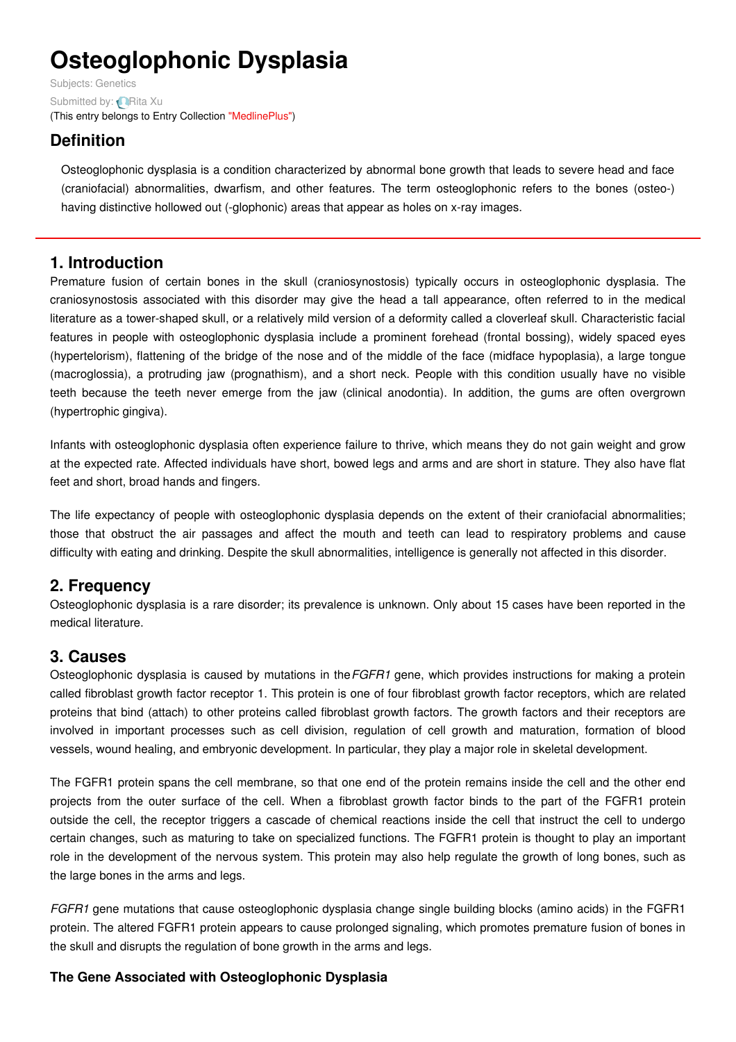# **Osteoglophonic Dysplasia**

Subjects: [Genetics](https://encyclopedia.pub/item/subject/56) Submitted by: **[Rita](https://sciprofiles.com/profile/915637) Xu** (This entry belongs to Entry Collection ["MedlinePlus"](https://encyclopedia.pub/entry/collection/24))

# **Definition**

Osteoglophonic dysplasia is a condition characterized by abnormal bone growth that leads to severe head and face (craniofacial) abnormalities, dwarfism, and other features. The term osteoglophonic refers to the bones (osteo-) having distinctive hollowed out (-glophonic) areas that appear as holes on x-ray images.

# **1. Introduction**

Premature fusion of certain bones in the skull (craniosynostosis) typically occurs in osteoglophonic dysplasia. The craniosynostosis associated with this disorder may give the head a tall appearance, often referred to in the medical literature as a tower-shaped skull, or a relatively mild version of a deformity called a cloverleaf skull. Characteristic facial features in people with osteoglophonic dysplasia include a prominent forehead (frontal bossing), widely spaced eyes (hypertelorism), flattening of the bridge of the nose and of the middle of the face (midface hypoplasia), a large tongue (macroglossia), a protruding jaw (prognathism), and a short neck. People with this condition usually have no visible teeth because the teeth never emerge from the jaw (clinical anodontia). In addition, the gums are often overgrown (hypertrophic gingiva).

Infants with osteoglophonic dysplasia often experience failure to thrive, which means they do not gain weight and grow at the expected rate. Affected individuals have short, bowed legs and arms and are short in stature. They also have flat feet and short, broad hands and fingers.

The life expectancy of people with osteoglophonic dysplasia depends on the extent of their craniofacial abnormalities; those that obstruct the air passages and affect the mouth and teeth can lead to respiratory problems and cause difficulty with eating and drinking. Despite the skull abnormalities, intelligence is generally not affected in this disorder.

# **2. Frequency**

Osteoglophonic dysplasia is a rare disorder; its prevalence is unknown. Only about 15 cases have been reported in the medical literature.

# **3. Causes**

Osteoglophonic dysplasia is caused by mutations in the*FGFR1* gene, which provides instructions for making a protein called fibroblast growth factor receptor 1. This protein is one of four fibroblast growth factor receptors, which are related proteins that bind (attach) to other proteins called fibroblast growth factors. The growth factors and their receptors are involved in important processes such as cell division, regulation of cell growth and maturation, formation of blood vessels, wound healing, and embryonic development. In particular, they play a major role in skeletal development.

The FGFR1 protein spans the cell membrane, so that one end of the protein remains inside the cell and the other end projects from the outer surface of the cell. When a fibroblast growth factor binds to the part of the FGFR1 protein outside the cell, the receptor triggers a cascade of chemical reactions inside the cell that instruct the cell to undergo certain changes, such as maturing to take on specialized functions. The FGFR1 protein is thought to play an important role in the development of the nervous system. This protein may also help regulate the growth of long bones, such as the large bones in the arms and legs.

*FGFR1* gene mutations that cause osteoglophonic dysplasia change single building blocks (amino acids) in the FGFR1 protein. The altered FGFR1 protein appears to cause prolonged signaling, which promotes premature fusion of bones in the skull and disrupts the regulation of bone growth in the arms and legs.

## **The Gene Associated with Osteoglophonic Dysplasia**